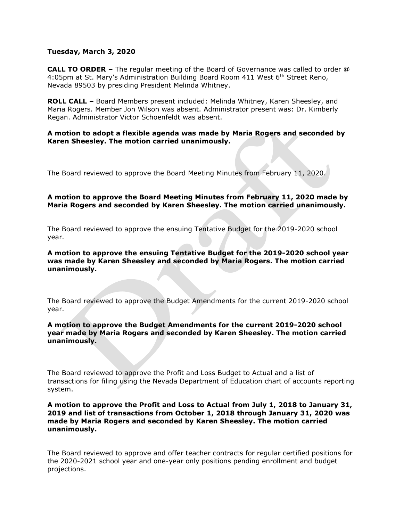### **Tuesday, March 3, 2020**

**CALL TO ORDER –** The regular meeting of the Board of Governance was called to order @ 4:05pm at St. Mary's Administration Building Board Room 411 West 6<sup>th</sup> Street Reno, Nevada 89503 by presiding President Melinda Whitney.

**ROLL CALL –** Board Members present included: Melinda Whitney, Karen Sheesley, and Maria Rogers. Member Jon Wilson was absent. Administrator present was: Dr. Kimberly Regan. Administrator Victor Schoenfeldt was absent.

### **A motion to adopt a flexible agenda was made by Maria Rogers and seconded by Karen Sheesley. The motion carried unanimously.**

The Board reviewed to approve the Board Meeting Minutes from February 11, 2020.

## **A motion to approve the Board Meeting Minutes from February 11, 2020 made by Maria Rogers and seconded by Karen Sheesley. The motion carried unanimously.**

The Board reviewed to approve the ensuing Tentative Budget for the 2019-2020 school year.

### **A motion to approve the ensuing Tentative Budget for the 2019-2020 school year was made by Karen Sheesley and seconded by Maria Rogers. The motion carried unanimously.**

The Board reviewed to approve the Budget Amendments for the current 2019-2020 school year.

## **A motion to approve the Budget Amendments for the current 2019-2020 school year made by Maria Rogers and seconded by Karen Sheesley. The motion carried unanimously.**

The Board reviewed to approve the Profit and Loss Budget to Actual and a list of transactions for filing using the Nevada Department of Education chart of accounts reporting system.

### **A motion to approve the Profit and Loss to Actual from July 1, 2018 to January 31, 2019 and list of transactions from October 1, 2018 through January 31, 2020 was made by Maria Rogers and seconded by Karen Sheesley. The motion carried unanimously.**

The Board reviewed to approve and offer teacher contracts for regular certified positions for the 2020-2021 school year and one-year only positions pending enrollment and budget projections.